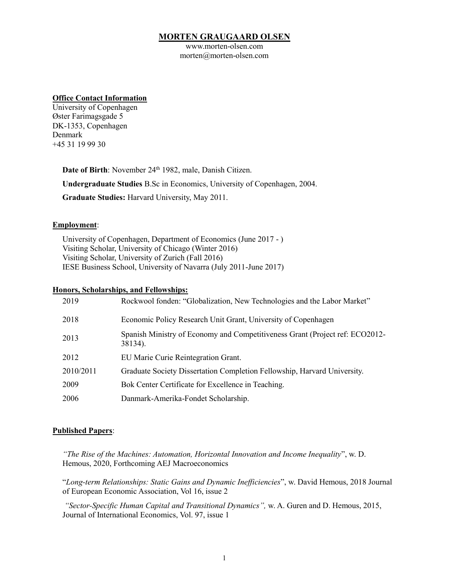# **MORTEN GRAUGAARD OLSEN**

www.morten-olsen.com morten@morten-olsen.com

#### **Office Contact Information**

University of Copenhagen Øster Farimagsgade 5 DK-1353, Copenhagen Denmark +45 31 19 99 30

Date of Birth: November 24<sup>th</sup> 1982, male, Danish Citizen.

**Undergraduate Studies** B.Sc in Economics, University of Copenhagen, 2004.

**Graduate Studies:** Harvard University, May 2011.

#### **Employment**:

University of Copenhagen, Department of Economics (June 2017 - ) Visiting Scholar, University of Chicago (Winter 2016) Visiting Scholar, University of Zurich (Fall 2016) IESE Business School, University of Navarra (July 2011-June 2017)

## **Honors, Scholarships, and Fellowships:**

| 2019      | Rockwool fonden: "Globalization, New Technologies and the Labor Market"                 |
|-----------|-----------------------------------------------------------------------------------------|
| 2018      | Economic Policy Research Unit Grant, University of Copenhagen                           |
| 2013      | Spanish Ministry of Economy and Competitiveness Grant (Project ref: ECO2012-<br>38134). |
| 2012      | EU Marie Curie Reintegration Grant.                                                     |
| 2010/2011 | Graduate Society Dissertation Completion Fellowship, Harvard University.                |
| 2009      | Bok Center Certificate for Excellence in Teaching.                                      |
| 2006      | Danmark-Amerika-Fondet Scholarship.                                                     |
|           |                                                                                         |

# **Published Papers**:

*"The Rise of the Machines: Automation, Horizontal Innovation and Income Inequality*", w. D. Hemous, 2020, Forthcoming AEJ Macroeconomics

"*Long-term Relationships: Static Gains and Dynamic Inefficiencies*", w. David Hemous, 2018 Journal of European Economic Association, Vol 16, issue 2

*"Sector-Specific Human Capital and Transitional Dynamics",* w. A. Guren and D. Hemous, 2015, Journal of International Economics, Vol. 97, issue 1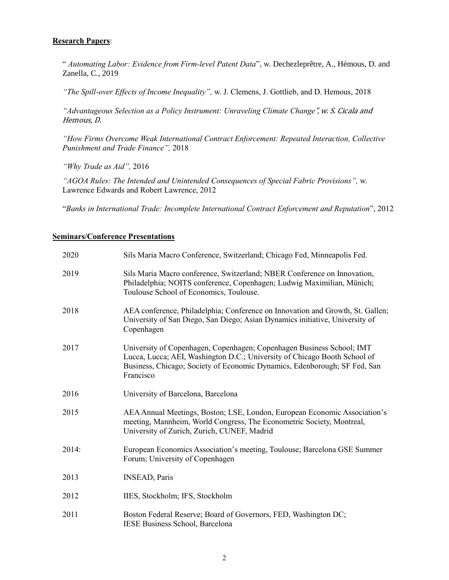# **Research Papers**:

" *Automating Labor: Evidence from Firm-level Patent Data*", w. Dechezleprêtre, A., Hémous, D. and Zanella, C., 2019

*"The Spill-over Effects of Income Inequality",* w. J. Clemens, J. Gottlieb, and D. Hemous, 2018

*"Advantageous Selection as a Policy Instrument: Unraveling Climate Change*", w. S. Cicala and Hemous, D.

*"How Firms Overcome Weak International Contract Enforcement: Repeated Interaction, Collective Punishment and Trade Finance",* 2018

*"Why Trade as Aid",* 2016

*"AGOA Rules: The Intended and Unintended Consequences of Special Fabric Provisions",* w. Lawrence Edwards and Robert Lawrence, 2012

"*Banks in International Trade: Incomplete International Contract Enforcement and Reputation*", 2012

#### **Seminars/Conference Presentations**

| 2020  | Sils Maria Macro Conference, Switzerland; Chicago Fed, Minneapolis Fed.                                                                                                                                                                      |
|-------|----------------------------------------------------------------------------------------------------------------------------------------------------------------------------------------------------------------------------------------------|
| 2019  | Sils Maria Macro conference, Switzerland; NBER Conference on Innovation,<br>Philadelphia; NOITS conference, Copenhagen; Ludwig Maximilian, Münich;<br>Toulouse School of Economics, Toulouse.                                                |
| 2018  | AEA conference, Philadelphia; Conference on Innovation and Growth, St. Gallen;<br>University of San Diego, San Diego; Asian Dynamics initiative, University of<br>Copenhagen                                                                 |
| 2017  | University of Copenhagen, Copenhagen; Copenhagen Business School; IMT<br>Lucca, Lucca; AEI, Washington D.C.; University of Chicago Booth School of<br>Business, Chicago; Society of Economic Dynamics, Edenborough; SF Fed, San<br>Francisco |
| 2016  | University of Barcelona, Barcelona                                                                                                                                                                                                           |
| 2015  | AEA Annual Meetings, Boston; LSE, London, European Economic Association's<br>meeting, Mannheim, World Congress, The Econometric Society, Montreal,<br>University of Zurich, Zurich, CUNEF, Madrid                                            |
| 2014: | European Economics Association's meeting, Toulouse; Barcelona GSE Summer<br>Forum; University of Copenhagen                                                                                                                                  |
| 2013  | <b>INSEAD, Paris</b>                                                                                                                                                                                                                         |
| 2012  | IIES, Stockholm; IFS, Stockholm                                                                                                                                                                                                              |
| 2011  | Boston Federal Reserve; Board of Governors, FED, Washington DC;<br>IESE Business School, Barcelona                                                                                                                                           |